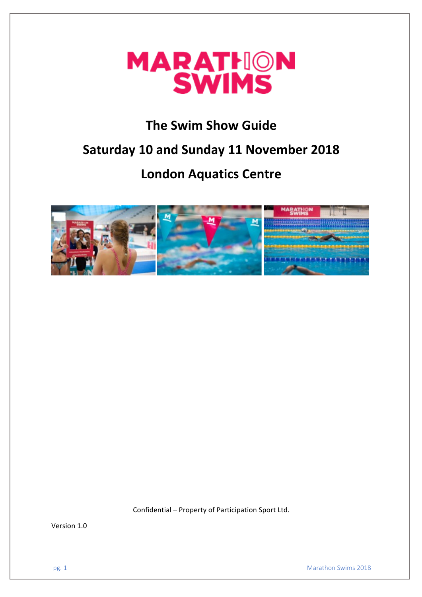

# **The Swim Show Guide**

# **Saturday 10 and Sunday 11 November 2018**

# **London Aquatics Centre**



Confidential – Property of Participation Sport Ltd.

Version 1.0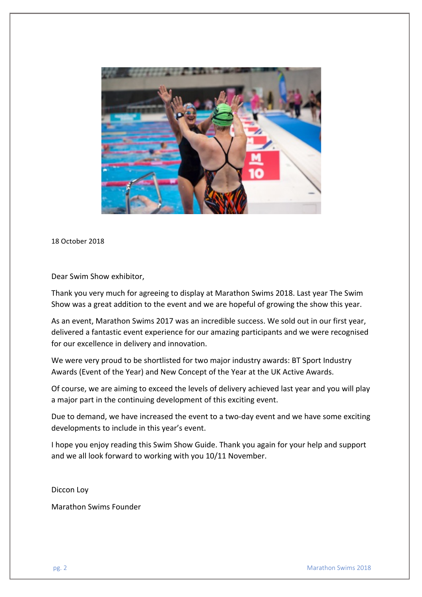

18 October 2018

Dear Swim Show exhibitor,

Thank you very much for agreeing to display at Marathon Swims 2018. Last year The Swim Show was a great addition to the event and we are hopeful of growing the show this year.

As an event, Marathon Swims 2017 was an incredible success. We sold out in our first year, delivered a fantastic event experience for our amazing participants and we were recognised for our excellence in delivery and innovation.

We were very proud to be shortlisted for two major industry awards: BT Sport Industry Awards (Event of the Year) and New Concept of the Year at the UK Active Awards.

Of course, we are aiming to exceed the levels of delivery achieved last year and you will play a major part in the continuing development of this exciting event.

Due to demand, we have increased the event to a two-day event and we have some exciting developments to include in this year's event.

I hope you enjoy reading this Swim Show Guide. Thank you again for your help and support and we all look forward to working with you 10/11 November.

Diccon Loy

Marathon Swims Founder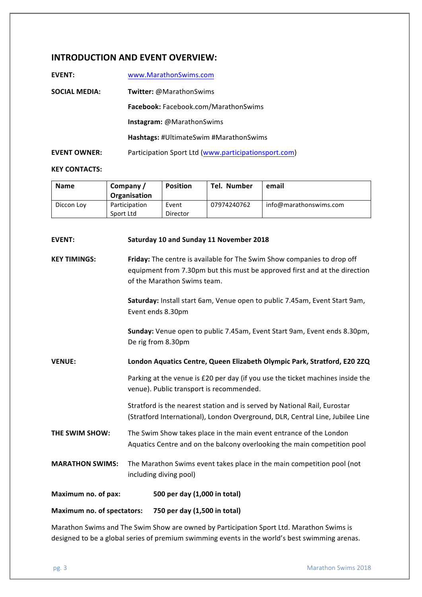# **INTRODUCTION AND EVENT OVERVIEW:**

| <b>EVENT:</b>        | www.MarathonSwims.com                                |
|----------------------|------------------------------------------------------|
| <b>SOCIAL MEDIA:</b> | <b>Twitter: @MarathonSwims</b>                       |
|                      | <b>Facebook:</b> Facebook.com/MarathonSwims          |
|                      | <b>Instagram: @MarathonSwims</b>                     |
|                      | Hashtags: #UltimateSwim #MarathonSwims               |
| <b>EVENT OWNER:</b>  | Participation Sport Ltd (www.participationsport.com) |
|                      |                                                      |

#### **KEY CONTACTS:**

| <b>Name</b> | Company /<br>Organisation  | <b>Position</b>   | Tel. Number | email                  |
|-------------|----------------------------|-------------------|-------------|------------------------|
| Diccon Loy  | Participation<br>Sport Ltd | Event<br>Director | 07974240762 | info@marathonswims.com |

| <b>EVENT:</b>                                                     | Saturday 10 and Sunday 11 November 2018                                                                                                                                              |  |  |
|-------------------------------------------------------------------|--------------------------------------------------------------------------------------------------------------------------------------------------------------------------------------|--|--|
| <b>KEY TIMINGS:</b>                                               | Friday: The centre is available for The Swim Show companies to drop off<br>equipment from 7.30pm but this must be approved first and at the direction<br>of the Marathon Swims team. |  |  |
|                                                                   | Saturday: Install start 6am, Venue open to public 7.45am, Event Start 9am,<br>Event ends 8.30pm                                                                                      |  |  |
|                                                                   | Sunday: Venue open to public 7.45am, Event Start 9am, Event ends 8.30pm,<br>De rig from 8.30pm                                                                                       |  |  |
| <b>VENUE:</b>                                                     | London Aquatics Centre, Queen Elizabeth Olympic Park, Stratford, E20 2ZQ                                                                                                             |  |  |
|                                                                   | Parking at the venue is £20 per day (if you use the ticket machines inside the<br>venue). Public transport is recommended.                                                           |  |  |
|                                                                   | Stratford is the nearest station and is served by National Rail, Eurostar<br>(Stratford International), London Overground, DLR, Central Line, Jubilee Line                           |  |  |
| THE SWIM SHOW:                                                    | The Swim Show takes place in the main event entrance of the London<br>Aquatics Centre and on the balcony overlooking the main competition pool                                       |  |  |
| <b>MARATHON SWIMS:</b>                                            | The Marathon Swims event takes place in the main competition pool (not<br>including diving pool)                                                                                     |  |  |
| Maximum no. of pax:                                               | 500 per day (1,000 in total)                                                                                                                                                         |  |  |
| <b>Maximum no. of spectators:</b><br>750 per day (1,500 in total) |                                                                                                                                                                                      |  |  |

Marathon Swims and The Swim Show are owned by Participation Sport Ltd. Marathon Swims is designed to be a global series of premium swimming events in the world's best swimming arenas.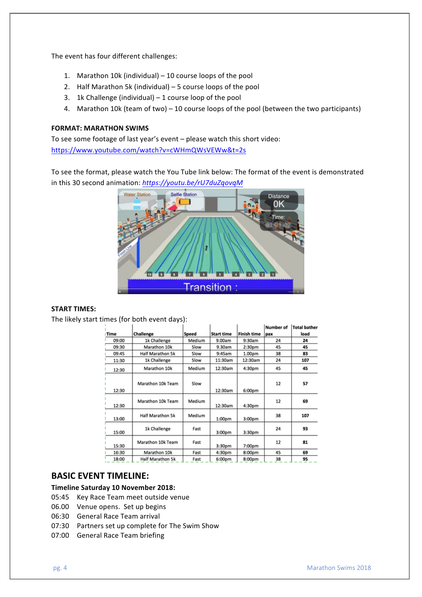The event has four different challenges:

- 1. Marathon 10k (individual)  $-10$  course loops of the pool
- 2. Half Marathon 5k (individual)  $-5$  course loops of the pool
- 3. 1k Challenge (individual)  $-1$  course loop of the pool
- 4. Marathon 10k (team of two) 10 course loops of the pool (between the two participants)

### **FORMAT: MARATHON SWIMS**

To see some footage of last year's event  $-$  please watch this short video: https://www.youtube.com/watch?v=cWHmQWsVEWw&t=2s

To see the format, please watch the You Tube link below: The format of the event is demonstrated in this 30 second animation: https://youtu.be/rU7duZqovqM



# **START TIMES:**

The likely start times (for both event days):

|       |                         |        |                    |                    | Number of | <b>Total bather</b> |
|-------|-------------------------|--------|--------------------|--------------------|-----------|---------------------|
| Time  | Challenge               | Speed  | <b>Start time</b>  | <b>Finish time</b> | pax       | load                |
| 09:00 | 1k Challenge            | Medium | 9.00am             | 9:30am             | 24        | 24                  |
| 09:30 | Marathon 10k            | Slow   | 9.30am             | 2:30pm             | 45        | 45                  |
| 09:45 | Half Marathon 5k        | Slow   | 9:45am             | 1.00 <sub>pm</sub> | 38        | 83                  |
| 11:30 | 1k Challenge            | Slow   | 11:30am            | 12:30am            | 24        | 107                 |
| 12:30 | Marathon 10k            | Medium | 12:30am            | 4:30pm             | 45        | 45                  |
| 12:30 | Marathon 10k Team       | Slow   | 12:30am            | 6:00pm             | 12        | 57                  |
| 12:30 | Marathon 10k Team       | Medium | 12:30am            | 4:30pm             | 12        | 69                  |
| 13:00 | Half Marathon 5k        | Medium | 1:00 <sub>pm</sub> | 3:00 <sub>DT</sub> | 38        | 107                 |
| 15:00 | 1k Challenge            | Fast   | 3:00 <sub>pm</sub> | 3:30pm             | 24        | 93                  |
| 15:30 | Marathon 10k Team       | Fast   | 3:30 <sub>pm</sub> | 7:00pm             | 12        | 81                  |
| 16:30 | Marathon 10k            | Fast   | 4:30pm             | 8:00 <sub>pm</sub> | 45        | 69                  |
| 18:00 | <b>Half Marathon 5k</b> | Fast   | 6:00pm             | 8:00pm             | 38        | 95                  |

### **BASIC EVENT TIMELINE:**

#### **Timeline Saturday 10 November 2018:**

- 05:45 Key Race Team meet outside venue
- 06.00 Venue opens. Set up begins
- 06:30 General Race Team arrival
- 07:30 Partners set up complete for The Swim Show
- 07:00 General Race Team briefing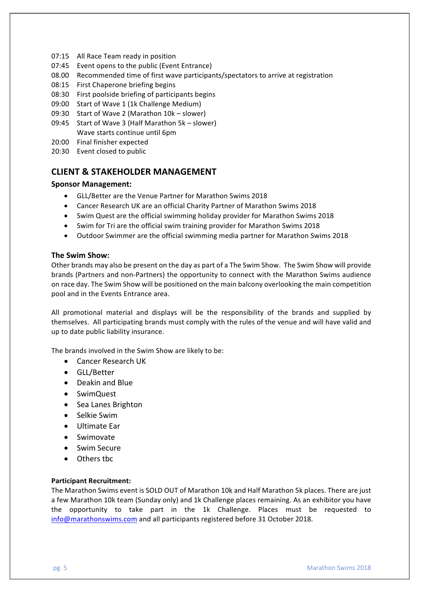- 07:15 All Race Team ready in position
- 07:45 Event opens to the public (Event Entrance)
- 08.00 Recommended time of first wave participants/spectators to arrive at registration
- 08:15 First Chaperone briefing begins
- 08:30 First poolside briefing of participants begins
- 09:00 Start of Wave 1 (1k Challenge Medium)
- 09:30 Start of Wave 2 (Marathon 10k slower)
- 09:45 Start of Wave 3 (Half Marathon 5k slower) Wave starts continue until 6pm
- 20:00 Final finisher expected
- 20:30 Event closed to public

# **CLIENT & STAKEHOLDER MANAGEMENT**

### **Sponsor Management:**

- GLL/Better are the Venue Partner for Marathon Swims 2018
- Cancer Research UK are an official Charity Partner of Marathon Swims 2018
- Swim Quest are the official swimming holiday provider for Marathon Swims 2018
- Swim for Tri are the official swim training provider for Marathon Swims 2018
- Outdoor Swimmer are the official swimming media partner for Marathon Swims 2018

#### **The Swim Show:**

Other brands may also be present on the day as part of a The Swim Show. The Swim Show will provide brands (Partners and non-Partners) the opportunity to connect with the Marathon Swims audience on race day. The Swim Show will be positioned on the main balcony overlooking the main competition pool and in the Events Entrance area.

All promotional material and displays will be the responsibility of the brands and supplied by themselves. All participating brands must comply with the rules of the venue and will have valid and up to date public liability insurance.

The brands involved in the Swim Show are likely to be:

- Cancer Research UK
- GLL/Better
- Deakin and Blue
- SwimQuest
- Sea Lanes Brighton
- Selkie Swim
- Ultimate Ear
- Swimovate
- Swim Secure
- Others tbc

#### **Participant Recruitment:**

The Marathon Swims event is SOLD OUT of Marathon 10k and Half Marathon 5k places. There are just a few Marathon 10k team (Sunday only) and 1k Challenge places remaining. As an exhibitor you have the opportunity to take part in the 1k Challenge. Places must be requested to info@marathonswims.com and all participants registered before 31 October 2018.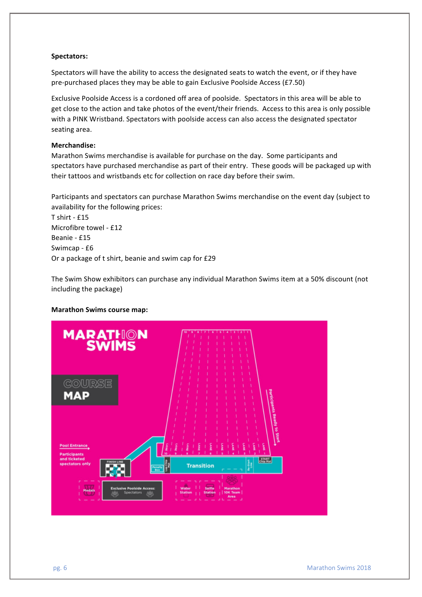#### **Spectators:**

Spectators will have the ability to access the designated seats to watch the event, or if they have pre-purchased places they may be able to gain Exclusive Poolside Access (£7.50)

Exclusive Poolside Access is a cordoned off area of poolside. Spectators in this area will be able to get close to the action and take photos of the event/their friends. Access to this area is only possible with a PINK Wristband. Spectators with poolside access can also access the designated spectator seating area.

#### **Merchandise:**

Marathon Swims merchandise is available for purchase on the day. Some participants and spectators have purchased merchandise as part of their entry. These goods will be packaged up with their tattoos and wristbands etc for collection on race day before their swim.

Participants and spectators can purchase Marathon Swims merchandise on the event day (subject to availability for the following prices:

 $T$  shirt - £15 Microfibre towel - £12 Beanie - £15 Swimcap - £6 Or a package of t shirt, beanie and swim cap for £29

The Swim Show exhibitors can purchase any individual Marathon Swims item at a 50% discount (not including the package)

#### **Marathon Swims course map:**